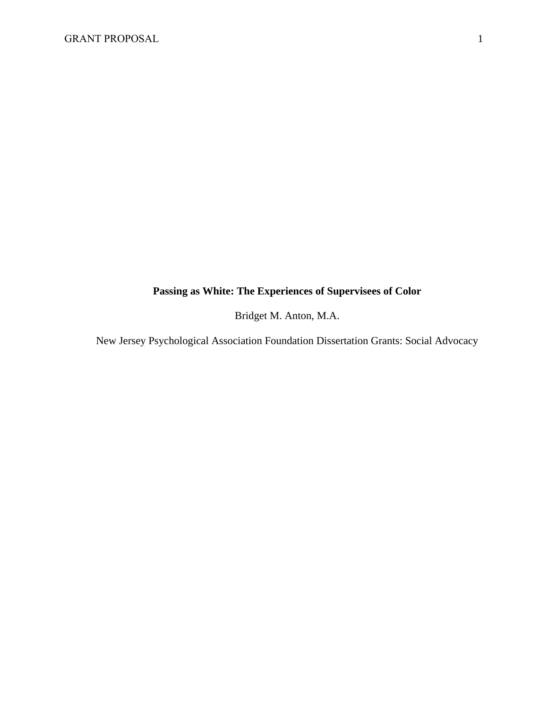## **Passing as White: The Experiences of Supervisees of Color**

Bridget M. Anton, M.A.

New Jersey Psychological Association Foundation Dissertation Grants: Social Advocacy